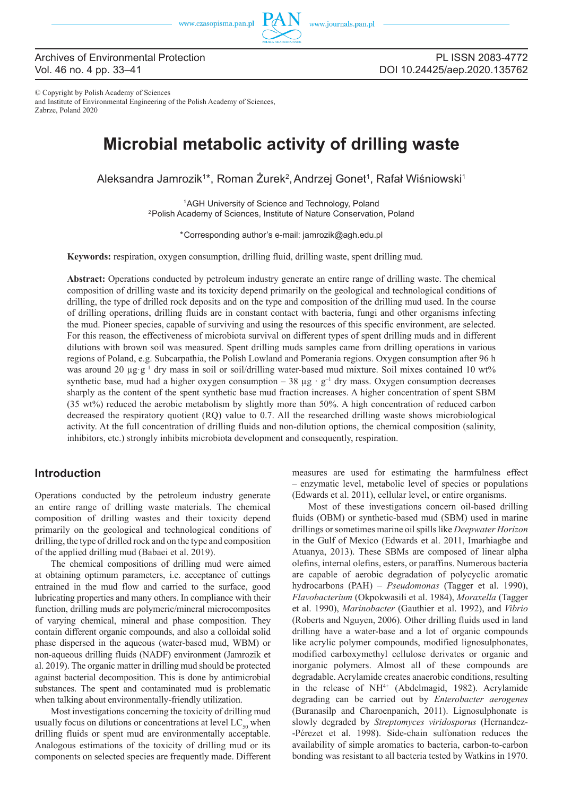

## Archives of Environmental Protection Vol. 46 no. 4 pp. 33–41

PL ISSN 2083-4772 DOI 10.24425/aep.2020.135762

© Copyright by Polish Academy of Sciences and Institute of Environmental Engineering of the Polish Academy of Sciences, Zabrze, Poland 2020

# **Microbial metabolic activity of drilling waste**

Aleksandra Jamrozik1\*, Roman Żurek<sup>2</sup>, Andrzej Gonet<sup>1</sup>, Rafał Wiśniowski<sup>1</sup>

1 AGH University of Science and Technology, Poland 2  Polish Academy of Sciences, Institute of Nature Conservation, Poland

\* Corresponding author's e-mail: jamrozik@agh.edu.pl

**Keywords:** respiration, oxygen consumption, drilling fluid, drilling waste, spent drilling mud*.*

**Abstract:** Operations conducted by petroleum industry generate an entire range of drilling waste. The chemical composition of drilling waste and its toxicity depend primarily on the geological and technological conditions of drilling, the type of drilled rock deposits and on the type and composition of the drilling mud used. In the course of drilling operations, drilling fluids are in constant contact with bacteria, fungi and other organisms infecting the mud. Pioneer species, capable of surviving and using the resources of this specific environment, are selected. For this reason, the effectiveness of microbiota survival on different types of spent drilling muds and in different dilutions with brown soil was measured. Spent drilling muds samples came from drilling operations in various regions of Poland, e.g. Subcarpathia, the Polish Lowland and Pomerania regions. Oxygen consumption after 96 h was around 20 μg·g<sup>-1</sup> dry mass in soil or soil/drilling water-based mud mixture. Soil mixes contained 10 wt% synthetic base, mud had a higher oxygen consumption – 38  $\mu$ g · g<sup>-1</sup> dry mass. Oxygen consumption decreases sharply as the content of the spent synthetic base mud fraction increases. A higher concentration of spent SBM (35 wt%) reduced the aerobic metabolism by slightly more than 50%. A high concentration of reduced carbon decreased the respiratory quotient (RQ) value to 0.7. All the researched drilling waste shows microbiological activity. At the full concentration of drilling fluids and non-dilution options, the chemical composition (salinity, inhibitors, etc.) strongly inhibits microbiota development and consequently, respiration.

# **Introduction**

Operations conducted by the petroleum industry generate an entire range of drilling waste materials. The chemical composition of drilling wastes and their toxicity depend primarily on the geological and technological conditions of drilling, the type of drilled rock and on the type and composition of the applied drilling mud (Babaei et al. 2019).

The chemical compositions of drilling mud were aimed at obtaining optimum parameters, i.e. acceptance of cuttings entrained in the mud flow and carried to the surface, good lubricating properties and many others. In compliance with their function, drilling muds are polymeric/mineral microcomposites of varying chemical, mineral and phase composition. They contain different organic compounds, and also a colloidal solid phase dispersed in the aqueous (water-based mud, WBM) or non-aqueous drilling fluids (NADF) environment (Jamrozik et al. 2019). The organic matter in drilling mud should be protected against bacterial decomposition. This is done by antimicrobial substances. The spent and contaminated mud is problematic when talking about environmentally-friendly utilization.

Most investigations concerning the toxicity of drilling mud usually focus on dilutions or concentrations at level  $LC_{\rm so}$  when drilling fluids or spent mud are environmentally acceptable. Analogous estimations of the toxicity of drilling mud or its components on selected species are frequently made. Different measures are used for estimating the harmfulness effect – enzymatic level, metabolic level of species or populations (Edwards et al. 2011), cellular level, or entire organisms.

Most of these investigations concern oil-based drilling fluids (OBM) or synthetic-based mud (SBM) used in marine drillings or sometimes marine oil spills like *Deepwater Horizon*  in the Gulf of Mexico (Edwards et al. 2011, Imarhiagbe and Atuanya, 2013). These SBMs are composed of linear alpha olefins, internal olefins, esters, or paraffins. Numerous bacteria are capable of aerobic degradation of polycyclic aromatic hydrocarbons (PAH) – *Pseudomonas* (Tagger et al. 1990), *Flavobacterium* (Okpokwasili et al. 1984), *Moraxella* (Tagger et al. 1990), *Marinobacter* (Gauthier et al. 1992), and *Vibrio* (Roberts and Nguyen, 2006). Other drilling fluids used in land drilling have a water-base and a lot of organic compounds like acrylic polymer compounds, modified lignosulphonates, modified carboxymethyl cellulose derivates or organic and inorganic polymers. Almost all of these compounds are degradable. Acrylamide creates anaerobic conditions, resulting in the release of  $NH<sup>4+</sup>$  (Abdelmagid, 1982). Acrylamide degrading can be carried out by *Enterobacter aerogenes*  (Buranasilp and Charoenpanich, 2011). Lignosulphonate is slowly degraded by *Streptomyces viridosporus* (Hernandez- -Pérezet et al. 1998). Side-chain sulfonation reduces the availability of simple aromatics to bacteria, carbon-to-carbon bonding was resistant to all bacteria tested by Watkins in 1970.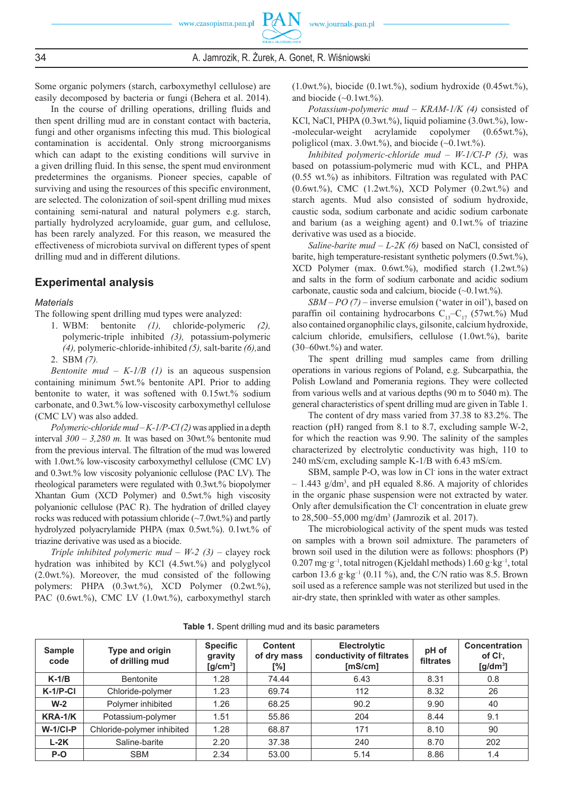Some organic polymers (starch, carboxymethyl cellulose) are easily decomposed by bacteria or fungi (Behera et al. 2014).

In the course of drilling operations, drilling fluids and then spent drilling mud are in constant contact with bacteria, fungi and other organisms infecting this mud. This biological contamination is accidental. Only strong microorganisms which can adapt to the existing conditions will survive in a given drilling fluid. In this sense, the spent mud environment predetermines the organisms. Pioneer species, capable of surviving and using the resources of this specific environment, are selected. The colonization of soil-spent drilling mud mixes containing semi-natural and natural polymers e.g. starch, partially hydrolyzed acryloamide, guar gum, and cellulose, has been rarely analyzed. For this reason, we measured the effectiveness of microbiota survival on different types of spent drilling mud and in different dilutions.

## **Experimental analysis**

#### *Materials*

The following spent drilling mud types were analyzed:

1. WBM: bentonite *(1),* chloride-polymeric *(2),* polymeric-triple inhibited *(3),* potassium-polymeric *(4),* polymeric-chloride-inhibited *(5),* salt-barite *(6),*and 2. SBM *(7).*

*Bentonite mud – K-1/B (1)* is an aqueous suspension containing minimum 5wt.% bentonite API. Prior to adding bentonite to water, it was softened with 0.15wt.% sodium carbonate, and 0.3wt.% low-viscosity carboxymethyl cellulose (CMC LV) was also added.

*Polymeric-chloride mud - K-1/P-Cl(2)* was applied in a depth interval *300* – *3,280 m.* It was based on 30wt.% bentonite mud from the previous interval. The filtration of the mud was lowered with 1.0wt.% low-viscosity carboxymethyl cellulose (CMC LV) and 0.3wt.% low viscosity polyanionic cellulose (PAC LV). The rheological parameters were regulated with 0.3wt.% biopolymer Xhantan Gum (XCD Polymer) and 0.5wt.% high viscosity polyanionic cellulose (PAC R). The hydration of drilled clayey rocks was reduced with potassium chloride (~7.0wt.%) and partly hydrolyzed polyacrylamide PHPA (max 0.5wt.%). 0.1wt.% of triazine derivative was used as a biocide.

*Triple inhibited polymeric mud – W-2*  $(3)$  *– clayey rock* hydration was inhibited by KCl (4.5wt.%) and polyglycol (2.0wt.%). Moreover, the mud consisted of the following polymers: PHPA (0.3wt.%), XCD Polymer (0.2wt.%), PAC (0.6wt.%), CMC LV (1.0wt.%), carboxymethyl starch  $(1.0wt.^{\degree}{\!\!\degree}$ ), biocide  $(0.1wt.^{\degree}{\!\!\degree}$ ), sodium hydroxide  $(0.45wt.^{\degree}{\!\!\degree}$ ), and biocide  $(\sim 0.1 \text{wt.}\%)$ .

*Potassium-polymeric mud* – *KRAM-1/K (4)* consisted of KCl, NaCl, PHPA (0.3wt.%), liquid poliamine (3.0wt.%), low--molecular-weight acrylamide copolymer (0.65wt.%), poliglicol (max. 3.0wt.%), and biocide  $(\sim 0.1 \text{wt.})$ .

*Inhibited polymeric-chloride mud* – *W-1/Cl-P (5),* was based on potassium-polymeric mud with KCL, and PHPA  $(0.55 \text{ wt.})$ % as inhibitors. Filtration was regulated with PAC (0.6wt.%), CMC (1.2wt.%), XCD Polymer (0.2wt.%) and starch agents. Mud also consisted of sodium hydroxide, caustic soda, sodium carbonate and acidic sodium carbonate and barium (as a weighing agent) and 0.1wt.% of triazine derivative was used as a biocide.

*Saline-barite mud – L-2K (6)* based on NaCl, consisted of barite, high temperature-resistant synthetic polymers (0.5wt.%), XCD Polymer (max. 0.6wt.%), modified starch (1.2wt.%) and salts in the form of sodium carbonate and acidic sodium carbonate, caustic soda and calcium, biocide  $(\sim 0.1 \text{wt.}\%)$ .

*SBM – PO (7)* – inverse emulsion ('water in oil'), based on paraffin oil containing hydrocarbons  $C_{13}-C_{17}$  (57wt.%). Mud also contained organophilic clays, gilsonite, calcium hydroxide, calcium chloride, emulsifiers, cellulose (1.0wt.%), barite  $(30-60wt.%)$  and water.

The spent drilling mud samples came from drilling operations in various regions of Poland, e.g. Subcarpathia, the Polish Lowland and Pomerania regions. They were collected from various wells and at various depths (90 m to 5040 m). The general characteristics of spent drilling mud are given in Table 1.

The content of dry mass varied from 37.38 to 83.2%. The reaction (pH) ranged from 8.1 to 8.7, excluding sample W-2, for which the reaction was 9.90. The salinity of the samples characterized by electrolytic conductivity was high, 110 to 240 mS/cm, excluding sample K-1/B with 6.43 mS/cm.

SBM, sample P-O, was low in Cl ions in the water extract – 1.443 g/dm3 , and pH equaled 8.86. A majority of chlorides in the organic phase suspension were not extracted by water. Only after demulsification the Cl- concentration in eluate grew to 28,500–55,000 mg/dm3 (Jamrozik et al. 2017).

The microbiological activity of the spent muds was tested on samples with a brown soil admixture. The parameters of brown soil used in the dilution were as follows: phosphors (P)  $0.207$  mg·g<sup>-1</sup>, total nitrogen (Kjeldahl methods)  $1.60$  g·kg<sup>-1</sup>, total carbon 13.6 g·kg<sup>-1</sup> (0.11 %), and, the C/N ratio was 8.5. Brown soil used as a reference sample was not sterilized but used in the air-dry state, then sprinkled with water as other samples.

| <b>Sample</b><br>code | Type and origin<br>of drilling mud | <b>Specific</b><br>gravity<br>$[g/cm^3]$ | <b>Content</b><br>of dry mass<br>[%] | <b>Electrolytic</b><br>conductivity of filtrates<br>[mS/cm] | pH of<br>filtrates | Concentration<br>of Cl.<br>$[g/dm^3]$ |
|-----------------------|------------------------------------|------------------------------------------|--------------------------------------|-------------------------------------------------------------|--------------------|---------------------------------------|
| $K-1/B$               | Bentonite                          | 1.28                                     | 74.44                                | 6.43                                                        | 8.31               | 0.8                                   |
| $K-1/P-CI$            | Chloride-polymer                   | 1.23                                     | 69.74                                | 112                                                         | 8.32               | 26                                    |
| $W-2$                 | Polymer inhibited                  | 1.26                                     | 68.25                                | 90.2                                                        | 9.90               | 40                                    |
| KRA-1/K               | Potassium-polymer                  | 1.51                                     | 55.86                                | 204                                                         | 8.44               | 9.1                                   |
| $W-1/CI-P$            | Chloride-polymer inhibited         | 1.28                                     | 68.87                                | 171                                                         | 8.10               | 90                                    |
| $L-2K$                | Saline-barite                      | 2.20                                     | 37.38                                | 240                                                         | 8.70               | 202                                   |
| P-O                   | <b>SBM</b>                         | 2.34                                     | 53.00                                | 5.14                                                        | 8.86               | 1.4                                   |

**Table 1.** Spent drilling mud and its basic parameters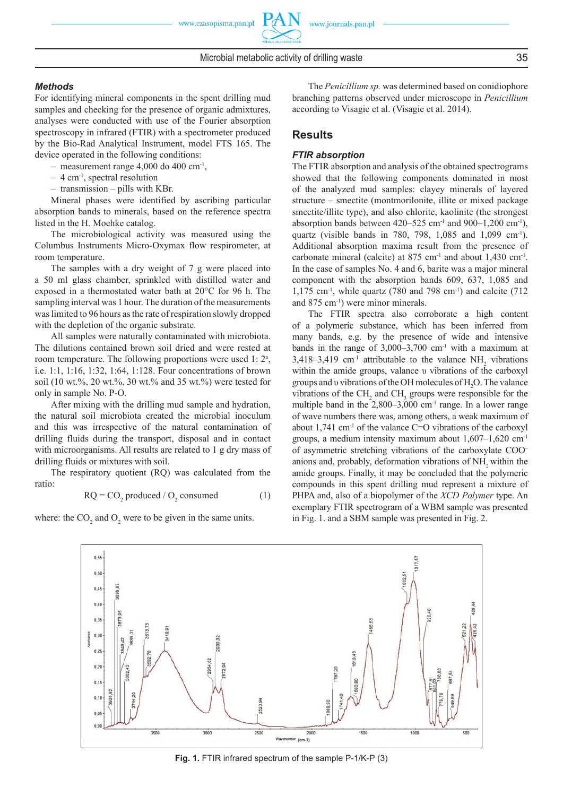#### *Methods*

For identifying mineral components in the spent drilling mud samples and checking for the presence of organic admixtures, analyses were conducted with use of the Fourier absorption spectroscopy in infrared (FTIR) with a spectrometer produced by the Bio-Rad Analytical Instrument, model FTS 165. The device operated in the following conditions:

– measurement range  $4,000$  do  $400$  cm<sup>-1</sup>,

- $-4$  cm<sup>-1</sup>, spectral resolution
- transmission pills with KBr.

Mineral phases were identified by ascribing particular absorption bands to minerals, based on the reference spectra listed in the H. Moehke catalog.

The microbiological activity was measured using the Columbus Instruments Micro-Oxymax flow respirometer, at room temperature.

The samples with a dry weight of 7 g were placed into a 50 ml glass chamber, sprinkled with distilled water and exposed in a thermostated water bath at 20°C for 96 h. The sampling interval was 1 hour. The duration of the measurements was limited to 96 hours as the rate of respiration slowly dropped with the depletion of the organic substrate.

All samples were naturally contaminated with microbiota. The dilutions contained brown soil dried and were rested at room temperature. The following proportions were used 1: 2<sup>n</sup>, i.e. 1:1, 1:16, 1:32, 1:64, 1:128. Four concentrations of brown soil (10 wt.%, 20 wt.%, 30 wt.% and 35 wt.%) were tested for only in sample No. P-O.

After mixing with the drilling mud sample and hydration, the natural soil microbiota created the microbial inoculum and this was irrespective of the natural contamination of drilling fluids during the transport, disposal and in contact with microorganisms. All results are related to 1 g dry mass of drilling fluids or mixtures with soil.

The respiratory quotient (RQ) was calculated from the ratio:

$$
RQ = CO_2 \text{ produced } / O_2 \text{ consumed} \tag{1}
$$

where: the  $CO_2$  and  $O_2$  were to be given in the same units.

The *Penicillium sp.* was determined based on conidiophore branching patterns observed under microscope in *Penicillium* according to Visagie et al. (Visagie et al. 2014).

#### **Results**

## *FTIR absorption*

The FTIR absorption and analysis of the obtained spectrograms showed that the following components dominated in most of the analyzed mud samples: clayey minerals of layered structure – smectite (montmorilonite, illite or mixed package smectite/illite type), and also chlorite, kaolinite (the strongest absorption bands between  $420-525$  cm<sup>-1</sup> and  $900-1,200$  cm<sup>-1</sup>), quartz (visible bands in 780, 798, 1,085 and 1,099 cm-1). Additional absorption maxima result from the presence of carbonate mineral (calcite) at  $875 \text{ cm}^{-1}$  and about  $1.430 \text{ cm}^{-1}$ . In the case of samples No. 4 and 6, barite was a major mineral component with the absorption bands 609, 637, 1,085 and 1,175 cm-1, while quartz (780 and 798 cm-1) and calcite (712 and 875 cm-1) were minor minerals.

The FTIR spectra also corroborate a high content of a polymeric substance, which has been inferred from many bands, e.g. by the presence of wide and intensive bands in the range of  $3,000-3,700$  cm<sup>-1</sup> with a maximum at 3,418–3,419 cm<sup>-1</sup> attributable to the valance  $NH_2$  vibrations within the amide groups, valance υ vibrations of the carboxyl groups and υ vibrations of the OH molecules of  $H_2O$ . The valance vibrations of the  $\text{CH}_2$  and  $\text{CH}_3$  groups were responsible for the multiple band in the  $2,800-3,000$  cm<sup>-1</sup> range. In a lower range of wave numbers there was, among others, a weak maximum of about  $1,741$  cm<sup>-1</sup> of the valance C=O vibrations of the carboxyl groups, a medium intensity maximum about 1,607–1,620 cm-1 of asymmetric stretching vibrations of the carboxylate COO anions and, probably, deformation vibrations of NH<sub>2</sub> within the amide groups. Finally, it may be concluded that the polymeric compounds in this spent drilling mud represent a mixture of PHPA and, also of a biopolymer of the *XCD Polymer* type. An exemplary FTIR spectrogram of a WBM sample was presented in Fig. 1. and a SBM sample was presented in Fig. 2.



**Fig. 1.** FTIR infrared spectrum of the sample P-1/K-P (3)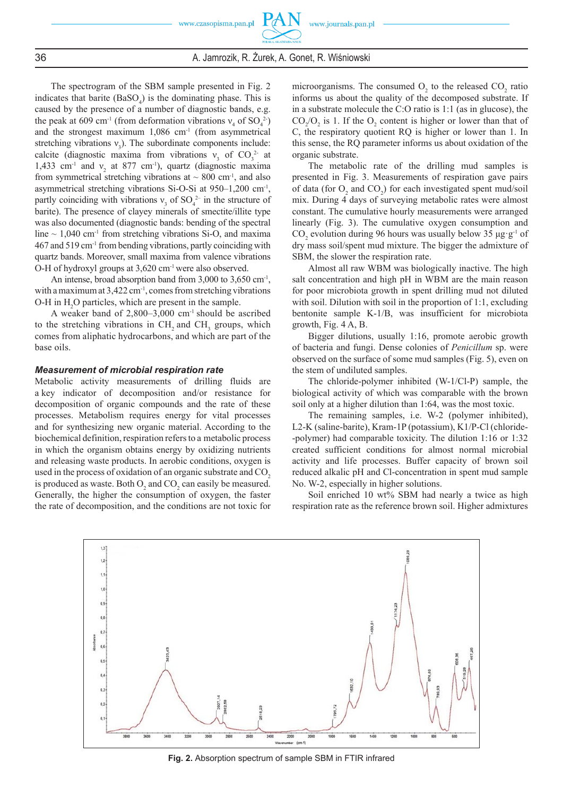The spectrogram of the SBM sample presented in Fig. 2 indicates that barite  $(BaSO<sub>4</sub>)$  is the dominating phase. This is caused by the presence of a number of diagnostic bands, e.g. the peak at 609 cm<sup>-1</sup> (from deformation vibrations  $v_4$  of  $SO_4^2$ ) and the strongest maximum  $1,086$  cm<sup>-1</sup> (from asymmetrical stretching vibrations  $v_3$ ). The subordinate components include: calcite (diagnostic maxima from vibrations  $v_3$  of CO<sub>3</sub><sup>2</sup> at 1,433 cm<sup>-1</sup> and  $v_2$  at 877 cm<sup>-1</sup>), quartz (diagnostic maxima from symmetrical stretching vibrations at  $\sim 800$  cm<sup>-1</sup>, and also asymmetrical stretching vibrations Si-O-Si at 950–1,200 cm-1, partly coinciding with vibrations  $v_3$  of SO<sub>4</sub><sup>2</sup> in the structure of barite). The presence of clayey minerals of smectite/illite type was also documented (diagnostic bands: bending of the spectral line  $\sim$  1,040 cm<sup>-1</sup> from stretching vibrations Si-O, and maxima  $467$  and  $519$  cm<sup>-1</sup> from bending vibrations, partly coinciding with quartz bands. Moreover, small maxima from valence vibrations O-H of hydroxyl groups at 3,620 cm-1 were also observed.

An intense, broad absorption band from 3,000 to 3,650 cm<sup>-1</sup>, with a maximum at  $3,422$  cm<sup>-1</sup>, comes from stretching vibrations O-H in  $H_2O$  particles, which are present in the sample.

A weaker band of 2,800–3,000 cm-1 should be ascribed to the stretching vibrations in  $CH_2$  and  $CH_3$  groups, which comes from aliphatic hydrocarbons, and which are part of the base oils.

#### *Measurement of microbial respiration rate*

Metabolic activity measurements of drilling fluids are a key indicator of decomposition and/or resistance for decomposition of organic compounds and the rate of these processes. Metabolism requires energy for vital processes and for synthesizing new organic material. According to the biochemical definition, respiration refers to a metabolic process in which the organism obtains energy by oxidizing nutrients and releasing waste products. In aerobic conditions, oxygen is used in the process of oxidation of an organic substrate and CO<sub>2</sub> is produced as waste. Both  $O_2$  and  $CO_2$  can easily be measured. Generally, the higher the consumption of oxygen, the faster the rate of decomposition, and the conditions are not toxic for

microorganisms. The consumed  $O_2$  to the released  $CO_2$  ratio informs us about the quality of the decomposed substrate. If in a substrate molecule the C:O ratio is 1:1 (as in glucose), the  $CO_2/O_2$  is 1. If the  $O_2$  content is higher or lower than that of C, the respiratory quotient RQ is higher or lower than 1. In this sense, the RQ parameter informs us about oxidation of the organic substrate.

The metabolic rate of the drilling mud samples is presented in Fig. 3. Measurements of respiration gave pairs of data (for  $O_2$  and  $CO_2$ ) for each investigated spent mud/soil mix. During 4 days of surveying metabolic rates were almost constant. The cumulative hourly measurements were arranged linearly (Fig. 3). The cumulative oxygen consumption and CO<sub>2</sub> evolution during 96 hours was usually below 35  $\mu$ g·g<sup>-1</sup> of dry mass soil/spent mud mixture. The bigger the admixture of SBM, the slower the respiration rate.

Almost all raw WBM was biologically inactive. The high salt concentration and high pH in WBM are the main reason for poor microbiota growth in spent drilling mud not diluted with soil. Dilution with soil in the proportion of 1:1, excluding bentonite sample K-1/B, was insufficient for microbiota growth, Fig. 4 A, B.

Bigger dilutions, usually 1:16, promote aerobic growth of bacteria and fungi. Dense colonies of *Penicillum* sp. were observed on the surface of some mud samples (Fig. 5), even on the stem of undiluted samples.

The chloride-polymer inhibited (W-1/Cl-P) sample, the biological activity of which was comparable with the brown soil only at a higher dilution than 1:64, was the most toxic.

The remaining samples, i.e. W-2 (polymer inhibited), L2-K (saline-barite), Kram-1P (potassium), K1/P-Cl (chloride- -polymer) had comparable toxicity. The dilution 1:16 or 1:32 created sufficient conditions for almost normal microbial activity and life processes. Buffer capacity of brown soil reduced alkalic pH and Cl-concentration in spent mud sample No. W-2, especially in higher solutions.

Soil enriched 10 wt% SBM had nearly a twice as high respiration rate as the reference brown soil. Higher admixtures



**Fig. 2.** Absorption spectrum of sample SBM in FTIR infrared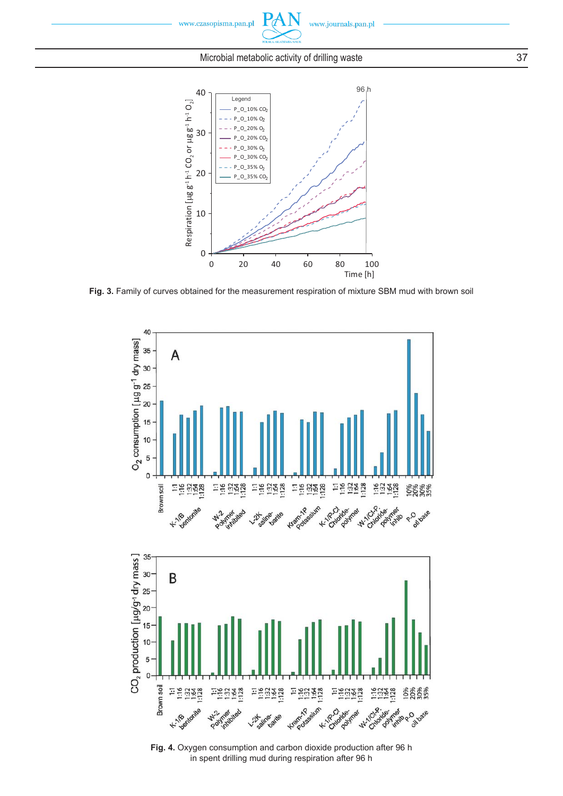

 $P\mathcal{A}$ 



**Fig. 3.** Family of curves obtained for the measurement respiration of mixture SBM mud with brown soil



**Fig. 4.** Oxygen consumption and carbon dioxide production after 96 h in spent drilling mud during respiration after 96 h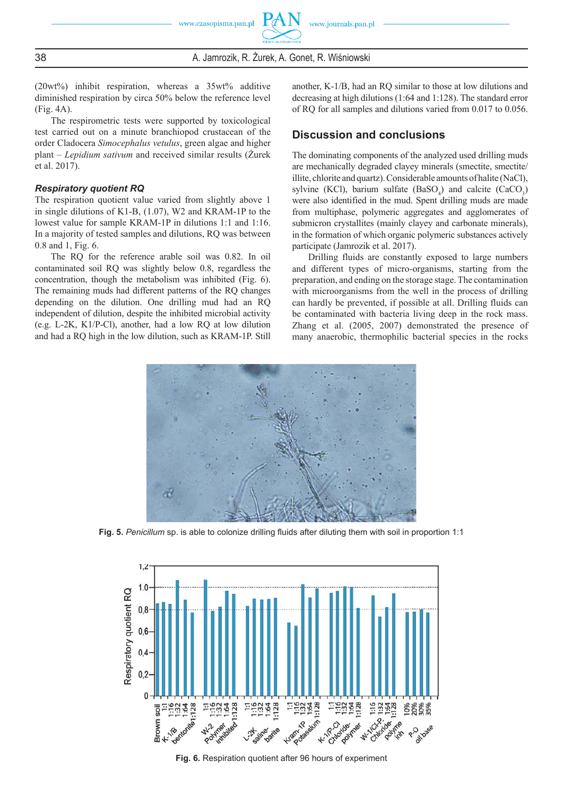38 **A. Jamrozik, R. Żurek, A. Gonet, R. Wiśniowski** 

(20wt%) inhibit respiration, whereas a 35wt% additive diminished respiration by circa 50% below the reference level (Fig. 4A).

The respirometric tests were supported by toxicological test carried out on a minute branchiopod crustacean of the order Cladocera *Simocephalus vetulus*, green algae and higher plant – *Lepidium sativum* and received similar results (Żurek et al. 2017).

#### *Respiratory quotient RQ*

The respiration quotient value varied from slightly above 1 in single dilutions of K1-B, (1.07), W2 and KRAM-1P to the lowest value for sample KRAM-1P in dilutions 1:1 and 1:16. In a majority of tested samples and dilutions, RQ was between 0.8 and 1, Fig. 6.

The RQ for the reference arable soil was 0.82. In oil contaminated soil RQ was slightly below 0.8, regardless the concentration, though the metabolism was inhibited (Fig. 6). The remaining muds had different patterns of the RQ changes depending on the dilution. One drilling mud had an RQ independent of dilution, despite the inhibited microbial activity (e.g. L-2K, K1/P-Cl), another, had a low RQ at low dilution and had a RQ high in the low dilution, such as KRAM-1P. Still another, K-1/B, had an RQ similar to those at low dilutions and decreasing at high dilutions (1:64 and 1:128). The standard error of RQ for all samples and dilutions varied from 0.017 to 0.056.

#### **Discussion and conclusions**

The dominating components of the analyzed used drilling muds are mechanically degraded clayey minerals (smectite, smectite/ illite, chlorite and quartz). Considerable amounts of halite (NaCl), sylvine (KCl), barium sulfate  $(BaSO_4)$  and calcite  $(CaCO_3)$ were also identified in the mud. Spent drilling muds are made from multiphase, polymeric aggregates and agglomerates of submicron crystallites (mainly clayey and carbonate minerals), in the formation of which organic polymeric substances actively participate (Jamrozik et al. 2017).

Drilling fluids are constantly exposed to large numbers and different types of micro-organisms, starting from the preparation, and ending on the storage stage. The contamination with microorganisms from the well in the process of drilling can hardly be prevented, if possible at all. Drilling fluids can be contaminated with bacteria living deep in the rock mass. Zhang et al. (2005, 2007) demonstrated the presence of many anaerobic, thermophilic bacterial species in the rocks



Fig. 5. Penicillum sp. is able to colonize drilling fluids after diluting them with soil in proportion 1:1



**Fig. 6.** Respiration quotient after 96 hours of experiment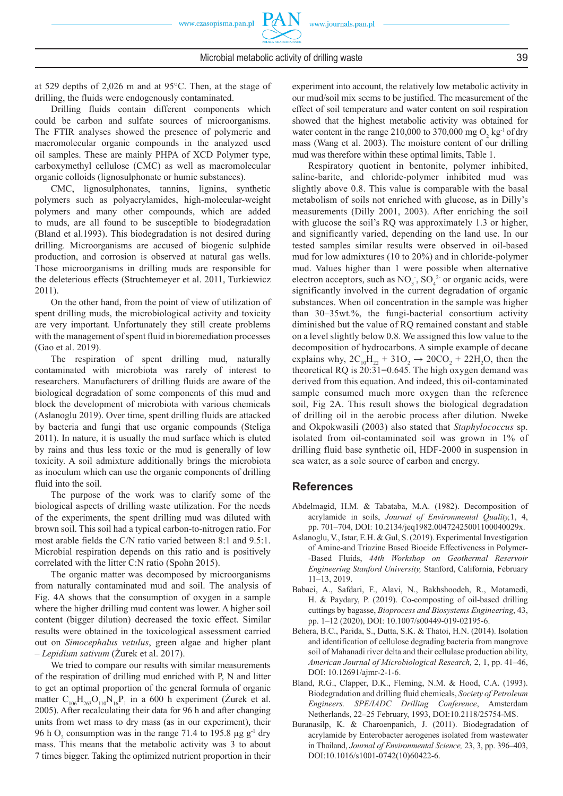Drilling fluids contain different components which could be carbon and sulfate sources of microorganisms. The FTIR analyses showed the presence of polymeric and macromolecular organic compounds in the analyzed used oil samples. These are mainly PHPA of XCD Polymer type, carboxymethyl cellulose (CMC) as well as macromolecular organic colloids (lignosulphonate or humic substances).

CMC, lignosulphonates, tannins, lignins, synthetic polymers such as polyacrylamides, high-molecular-weight polymers and many other compounds, which are added to muds, are all found to be susceptible to biodegradation (Bland et al.1993). This biodegradation is not desired during drilling. Microorganisms are accused of biogenic sulphide production, and corrosion is observed at natural gas wells. Those microorganisms in drilling muds are responsible for the deleterious effects (Struchtemeyer et al. 2011, Turkiewicz 2011).

On the other hand, from the point of view of utilization of spent drilling muds, the microbiological activity and toxicity are very important. Unfortunately they still create problems with the management of spent fluid in bioremediation processes (Gao et al. 2019).

The respiration of spent drilling mud, naturally contaminated with microbiota was rarely of interest to researchers. Manufacturers of drilling fluids are aware of the biological degradation of some components of this mud and block the development of microbiota with various chemicals (Aslanoglu 2019). Over time, spent drilling fluids are attacked by bacteria and fungi that use organic compounds (Steliga 2011). In nature, it is usually the mud surface which is eluted by rains and thus less toxic or the mud is generally of low toxicity. A soil admixture additionally brings the microbiota as inoculum which can use the organic components of drilling fluid into the soil.

The purpose of the work was to clarify some of the biological aspects of drilling waste utilization. For the needs of the experiments, the spent drilling mud was diluted with brown soil. This soil had a typical carbon-to-nitrogen ratio. For most arable fields the C/N ratio varied between 8:1 and 9.5:1. Microbial respiration depends on this ratio and is positively correlated with the litter C:N ratio (Spohn 2015).

The organic matter was decomposed by microorganisms from naturally contaminated mud and soil. The analysis of Fig. 4A shows that the consumption of oxygen in a sample where the higher drilling mud content was lower. A higher soil content (bigger dilution) decreased the toxic effect. Similar results were obtained in the toxicological assessment carried out on *Simocephalus vetulus*, green algae and higher plant – *Lepidium sativum* (Żurek et al. 2017).

We tried to compare our results with similar measurements of the respiration of drilling mud enriched with P, N and litter to get an optimal proportion of the general formula of organic matter  $C_{106}H_{263}O_{110}N_{16}P_1$  in a 600 h experiment (Żurek et al. 2005). After recalculating their data for 96 h and after changing units from wet mass to dry mass (as in our experiment), their 96 h O<sub>2</sub> consumption was in the range 71.4 to 195.8  $\mu$ g g<sup>-1</sup> dry mass. This means that the metabolic activity was 3 to about 7 times bigger. Taking the optimized nutrient proportion in their

experiment into account, the relatively low metabolic activity in our mud/soil mix seems to be justified. The measurement of the effect of soil temperature and water content on soil respiration showed that the highest metabolic activity was obtained for water content in the range 210,000 to 370,000 mg  $O_2$  kg<sup>-1</sup> of dry mass (Wang et al. 2003). The moisture content of our drilling mud was therefore within these optimal limits, Table 1.

Respiratory quotient in bentonite, polymer inhibited, saline-barite, and chloride-polymer inhibited mud was slightly above 0.8. This value is comparable with the basal metabolism of soils not enriched with glucose, as in Dilly's measurements (Dilly 2001, 2003). After enriching the soil with glucose the soil's RQ was approximately 1.3 or higher, and significantly varied, depending on the land use. In our tested samples similar results were observed in oil-based mud for low admixtures (10 to 20%) and in chloride-polymer mud. Values higher than 1 were possible when alternative electron acceptors, such as  $NO_3$ ,  $SO_4^2$  or organic acids, were significantly involved in the current degradation of organic substances. When oil concentration in the sample was higher than 30‒35wt.%, the fungi-bacterial consortium activity diminished but the value of RQ remained constant and stable on a level slightly below 0.8. We assigned this low value to the decomposition of hydrocarbons. A simple example of decane explains why,  $2C_{10}H_{22} + 31O_2 \rightarrow 20CO_2 + 22H_2O$ , then the theoretical RQ is  $20:31=0.645$ . The high oxygen demand was derived from this equation. And indeed, this oil-contaminated sample consumed much more oxygen than the reference soil, Fig 2A. This result shows the biological degradation of drilling oil in the aerobic process after dilution. Nweke and Okpokwasili (2003) also stated that *Staphylococcus* sp. isolated from oil-contaminated soil was grown in 1% of drilling fluid base synthetic oil, HDF-2000 in suspension in sea water, as a sole source of carbon and energy.

## **References**

- Abdelmagid, H.M. & Tabataba, M.A. (1982). Decomposition of acrylamide in soils, *Journal of Environmental Quality,*1, 4, pp. 701–704, DOI: 10.2134/jeq1982.00472425001100040029x.
- Aslanoglu, V., Istar, E.H. & Gul, S. (2019). Experimental Investigation of Amine-and Triazine Based Biocide Effectiveness in Polymer- -Based Fluids, *44th Workshop on Geothermal Reservoir Engineering Stanford University,* Stanford, California, February 11–13, 2019.
- Babaei, A., Safdari, F., Alavi, N., Bakhshoodeh, R., Motamedi, H. & Paydary, P. (2019). Co-composting of oil-based drilling cuttings by bagasse, *Bioprocess and Biosystems Engineering*, 43, pp. 1–12 (2020), DOI: 10.1007/s00449-019-02195-6.
- Behera, B.C., Parida, S., Dutta, S.K. & Thatoi, H.N. (2014). Isolation and identification of cellulose degrading bacteria from mangrove soil of Mahanadi river delta and their cellulase production ability, *American Journal of Microbiological Research,* 2, 1, pp. 41–46, DOI: 10.12691/ajmr-2-1-6.
- Bland, R.G., Clapper, D.K., Fleming, N.M. & Hood, C.A. (1993). Biodegradation and drilling fluid chemicals, *Society of Petroleum Engineers. SPE/IADC Drilling Conference*, Amsterdam Netherlands, 22–25 February, 1993, DOI:10.2118/25754-MS.
- Buranasilp, K. & Charoenpanich, J. (2011). Biodegradation of acrylamide by Enterobacter aerogenes isolated from wastewater in Thailand, *Journal of Environmental Science,* 23, 3, pp. 396–403, DOI:10.1016/s1001-0742(10)60422-6.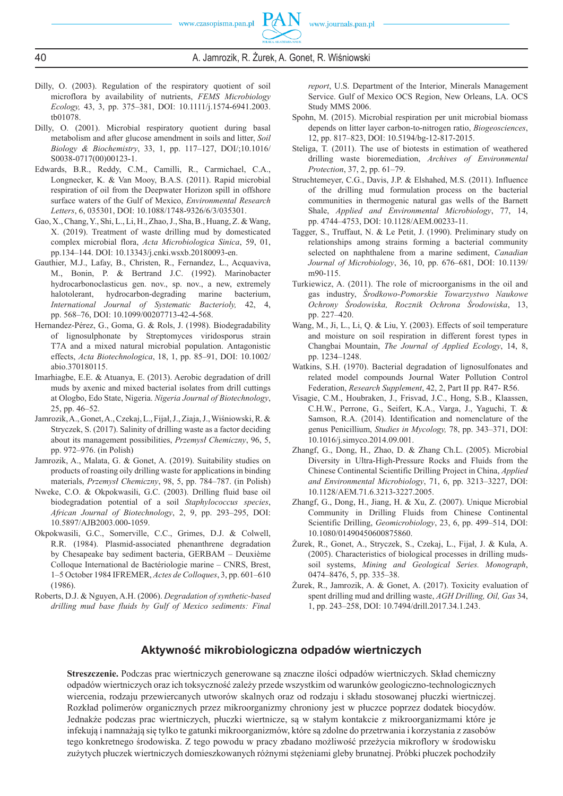

- Dilly, O. (2003). Regulation of the respiratory quotient of soil microflora by availability of nutrients, *FEMS Microbiology Ecology,* 43, 3, pp. 375–381, DOI: 10.1111/j.1574-6941.2003. tb01078.
- Dilly, O. (2001). Microbial respiratory quotient during basal metabolism and after glucose amendment in soils and litter, *Soil Biology & Biochemistry*, 33, 1, pp. 117–127, DOI/;10.1016/ S0038-0717(00)00123-1.
- Edwards, B.R., Reddy, C.M., Camilli, R., Carmichael, C.A., Longnecker, K. & Van Mooy, B.A.S. (2011). Rapid microbial respiration of oil from the Deepwater Horizon spill in offshore surface waters of the Gulf of Mexico, *Environmental Research Letters*, 6, 035301, DOI: 10.1088/1748-9326/6/3/035301.
- Gao, X., Chang, Y., Shi, L., Li, H., Zhao, J., Sha, B., Huang, Z. & Wang, X. (2019). Treatment of waste drilling mud by domesticated complex microbial flora, *Acta Microbiologica Sinica*, 59, 01, pp.134–144. DOI: 10.13343/j.cnki.wsxb.20180093-en.
- Gauthier, M.J., Lafay, B., Christen, R., Fernandez, L., Acquaviva, M., Bonin, P. & Bertrand J.C. (1992). Marinobacter hydrocarbonoclasticus gen. nov., sp. nov., a new, extremely halotolerant, hydrocarbon-degrading marine bacterium, *International Journal of Systematic Bacterioly,* 42, 4, pp. 568–76, DOI: 10.1099/00207713-42-4-568.
- Hernandez-Pérez, G., Goma, G. & Rols, J. (1998). Biodegradability of lignosulphonate by Streptomyces viridosporus strain T7A and a mixed natural microbial population. Antagonistic effects, *Acta Biotechnologica*, 18, 1, pp. 85–91, DOI: 10.1002/ abio.370180115.
- Imarhiagbe, E.E. & Atuanya, E. (2013). Aerobic degradation of drill muds by axenic and mixed bacterial isolates from drill cuttings at Ologbo, Edo State, Nigeria. *Nigeria Journal of Biotechnology*, 25, pp. 46–52.
- Jamrozik, A., Gonet, A., Czekaj, L., Fijał, J., Ziaja, J., Wiśniowski, R. & Stryczek, S. (2017). Salinity of drilling waste as a factor deciding about its management possibilities, *Przemysł Chemiczny*, 96, 5, pp. 972–976. (in Polish)
- Jamrozik, A., Malata, G. & Gonet, A. (2019). Suitability studies on products of roasting oily drilling waste for applications in binding materials, *Przemysł Chemiczny*, 98, 5, pp. 784–787. (in Polish)
- Nweke, C.O. & Okpokwasili, G.C. (2003). Drilling fluid base oil biodegradation potential of a soil *Staphylococcus species*, *African Journal of Biotechnology*, 2, 9, pp. 293–295, DOI: 10.5897/AJB2003.000-1059.
- Okpokwasili, G.C., Somerville, C.C., Grimes, D.J. & Colwell, R.R. (1984). Plasmid-associated phenanthrene degradation by Chesapeake bay sediment bacteria, GERBAM – Deuxième Colloque International de Bactériologie marine – CNRS, Brest, 1–5 October 1984 IFREMER, *Actes de Colloques*, 3, pp. 601–610 (1986).
- Roberts, D.J. & Nguyen, A.H. (2006). *Degradation of synthetic-based drilling mud base fluids by Gulf of Mexico sediments: Final*

*report*, U.S. Department of the Interior, Minerals Management Service. Gulf of Mexico OCS Region, New Orleans, LA. OCS Study MMS 2006.

- Spohn, M. (2015). Microbial respiration per unit microbial biomass depends on litter layer carbon-to-nitrogen ratio, *Biogeosciences*, 12, pp. 817–823, DOI: 10.5194/bg-12-817-2015.
- Steliga, T. (2011). The use of biotests in estimation of weathered drilling waste bioremediation, *Archives of Environmental Protection*, 37, 2, pp. 61–79.
- Struchtemeyer, C.G., Davis, J.P. & Elshahed, M.S. (2011). Influence of the drilling mud formulation process on the bacterial communities in thermogenic natural gas wells of the Barnett Shale, *Applied and Environmental Microbiology*, 77, 14, pp. 4744–4753, DOI: 10.1128/AEM.00233-11.
- Tagger, S., Truffaut, N. & Le Petit, J. (1990). Preliminary study on relationships among strains forming a bacterial community selected on naphthalene from a marine sediment, *Canadian Journal of Microbiology*, 36, 10, pp. 676–681, DOI: 10.1139/ m90-115.
- Turkiewicz, A. (2011). The role of microorganisms in the oil and gas industry, *Środkowo-Pomorskie Towarzystwo Naukowe Ochrony Środowiska, Rocznik Ochrona Środowiska*, 13, pp. 227–420.
- Wang, M., Ji, L., Li, Q. & Liu, Y. (2003). Effects of soil temperature and moisture on soil respiration in different forest types in Changbai Mountain, *The Journal of Applied Ecology*, 14, 8, pp. 1234–1248.
- Watkins, S.H. (1970). Bacterial degradation of lignosulfonates and related model compounds Journal Water Pollution Control Federation, *Research Supplement*, 42, 2, Part II pp. R47- R56.
- Visagie, C.M., Houbraken, J., Frisvad, J.C., Hong, S.B., Klaassen, C.H.W. , Perrone, G., Seifert, K.A. , Varga, J., Yaguchi, T. & Samson, R.A. (2014). Identification and nomenclature of the genus Penicillium, *Studies in Mycology,* 78, pp. 343–371, DOI: 10.1016/j.simyco.2014.09.001.
- Zhangf, G., Dong, H., Zhao, D. & Zhang Ch.L. (2005). Microbial Diversity in Ultra-High-Pressure Rocks and Fluids from the Chinese Continental Scientific Drilling Project in China, *Applied and Environmental Microbiology*, 71, 6, pp. 3213–3227, DOI: 10.1128/AEM.71.6.3213-3227.2005.
- Zhangf, G., Dong, H., Jiang, H. & Xu, Z. (2007). Unique Microbial Community in Drilling Fluids from Chinese Continental Scientific Drilling, *Geomicrobiology*, 23, 6, pp. 499–514, DOI: 10.1080/01490450600875860.
- Żurek, R., Gonet, A., Stryczek, S., Czekaj, L., Fijał, J. & Kula, A. (2005). Characteristics of biological processes in drilling mudssoil systems, *Mining and Geological Series. Monograph*, 0474–8476, 5, pp. 335–38.
- Żurek, R., Jamrozik, A. & Gonet, A. (2017). Toxicity evaluation of spent drilling mud and drilling waste, *AGH Drilling, Oil, Gas* 34, 1, pp. 243–258, DOI: 10.7494/drill.2017.34.1.243.

# **Aktywność mikrobiologiczna odpadów wiertniczych**

**Streszczenie.** Podczas prac wiertniczych generowane są znaczne ilości odpadów wiertniczych. Skład chemiczny odpadów wiertniczych oraz ich toksyczność zależy przede wszystkim od warunków geologiczno-technologicznych wiercenia, rodzaju przewiercanych utworów skalnych oraz od rodzaju i składu stosowanej płuczki wiertniczej. Rozkład polimerów organicznych przez mikroorganizmy chroniony jest w płuczce poprzez dodatek biocydów. Jednakże podczas prac wiertniczych, płuczki wiertnicze, są w stałym kontakcie z mikroorganizmami które je infekują i namnażają się tylko te gatunki mikroorganizmów, które są zdolne do przetrwania i korzystania z zasobów tego konkretnego środowiska. Z tego powodu w pracy zbadano możliwość przeżycia mikroflory w środowisku zużytych płuczek wiertniczych domieszkowanych różnymi stężeniami gleby brunatnej. Próbki płuczek pochodziły